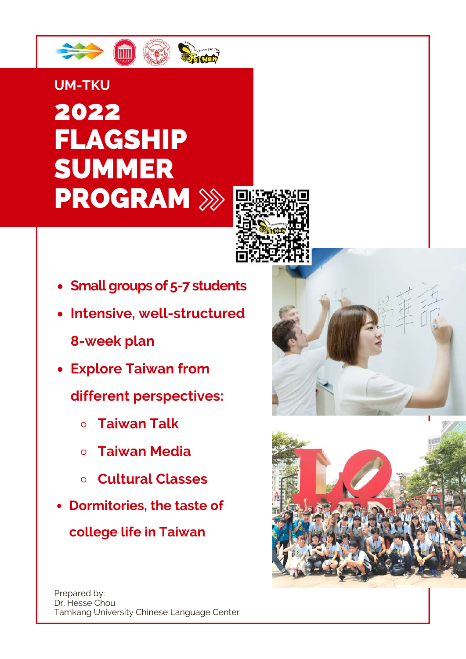

# 2022 FLAGSHIP SUMMER PROGRAM **UM-TKU**



- **Small groups of 5-7 students**
- **Intensive, well-structured 8-week plan**
- **Explore Taiwan from**

**different perspectives:**

- **Taiwan Talk**  $\Omega$
- **Taiwan Media**
- **Cultural Classes**
- **Dormitories, the taste of**

**college life in Taiwan**



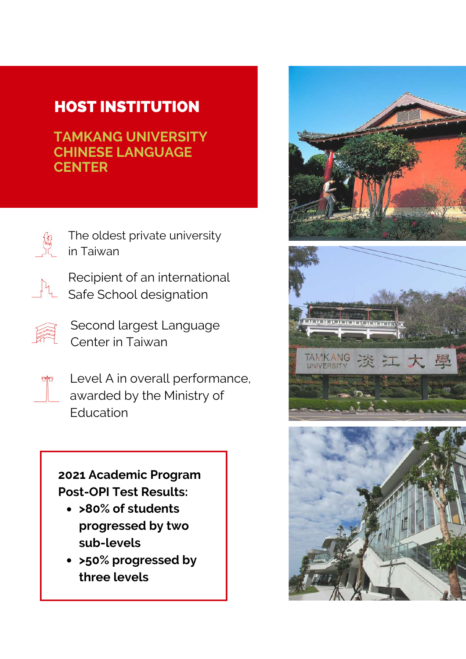### HOST INSTITUTION

**TAMKANG UNIVERSITY CHINESE LANGUAGE CENTER**



The oldest private university in Taiwan



Recipient of an international Safe School designation



Second largest Language Center in Taiwan



Level A in overall performance, awarded by the Ministry of Education

### **2021 Academic Program Post-OPI Test Results:**

- **>80% of students progressed by two sub-levels**
- **>50% progressed by three levels**





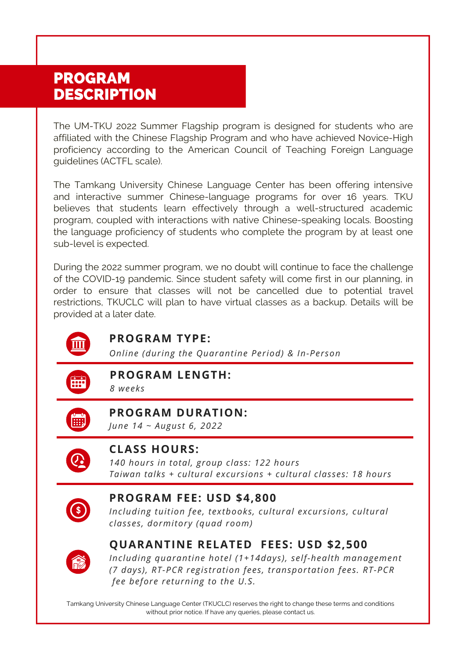### PROGRAM DESCRIPTION

The UM-TKU 2022 Summer Flagship program is designed for students who are affiliated with the Chinese Flagship Program and who have achieved Novice-High proficiency according to the American Council of Teaching Foreign Language guidelines (ACTFL scale).

The Tamkang University Chinese Language Center has been offering intensive and interactive summer Chinese-language programs for over 16 years. TKU believes that students learn effectively through a well-structured academic program, coupled with interactions with native Chinese-speaking locals. Boosting the language proficiency of students who complete the program by at least one sub-level is expected.

During the 2022 summer program, we no doubt will continue to face the challenge of the COVID-19 pandemic. Since student safety will come first in our planning, in order to ensure that classes will not be cancelled due to potential travel restrictions, TKUCLC will plan to have virtual classes as a backup. Details will be provided at a later date.



#### **PROGRAM TYPE:**

*Online (during the Quarantine Period) & In-Person*



**PROGRAM LENGTH:**

*8 weeks*



#### **PROGRAM DURATION:**

*June 14 ~ August 6, 2022*



#### **CLASS HOURS:**

*140 hours in total, group class: 122 hours Taiwan talks + cultural excursions + cultural classes: 18 hours*



#### **PROGRAM FEE: USD \$4,800**

*Including tuition fee, textbooks, cultural excursions, cultural classes, dormitory (quad room)*



#### **QUARANTINE RELATED FEES: USD \$2,500**

*Including quarantine hotel (1+14days), self-health management (7 days), RT-PCR registration fees, transportation fees. RT-PCR fee before returning to the U.S.*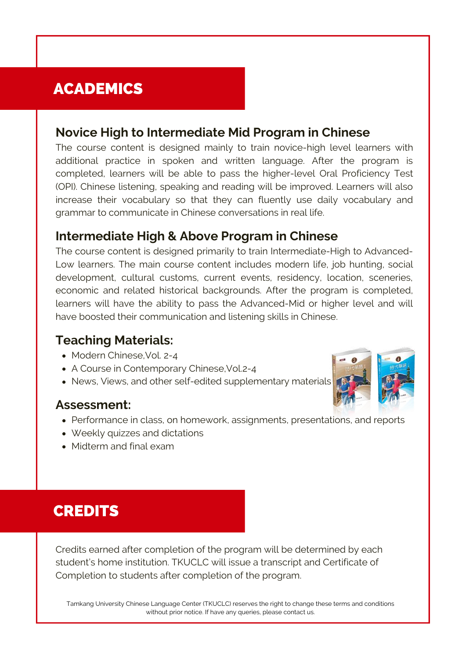### ACADEMICS

#### **Novice High to Intermediate Mid Program in Chinese**

The course content is designed mainly to train novice-high level learners with additional practice in spoken and written language. After the program is completed, learners will be able to pass the higher-level Oral Proficiency Test (OPI). Chinese listening, speaking and reading will be improved. Learners will also increase their vocabulary so that they can fluently use daily vocabulary and grammar to communicate in Chinese conversations in real life.

#### **Intermediate High & Above Program in Chinese**

The course content is designed primarily to train Intermediate-High to Advanced-Low learners. The main course content includes modern life, job hunting, social development, cultural customs, current events, residency, location, sceneries, economic and related historical backgrounds. After the program is completed, learners will have the ability to pass the Advanced-Mid or higher level and will have boosted their communication and listening skills in Chinese.

### **Teaching Materials:**

- Modern Chinese, Vol. 2-4
- A Course in Contemporary Chinese,Vol.2-4
- News, Views, and other self-edited supplementary materials

#### **Assessment:**

- Performance in class, on homework, assignments, presentations, and reports
- Weekly quizzes and dictations
- Midterm and final exam



### **CREDITS**

Credits earned after completion of the program will be determined by each student's home institution. TKUCLC will issue a transcript and Certificate of Completion to students after completion of the program.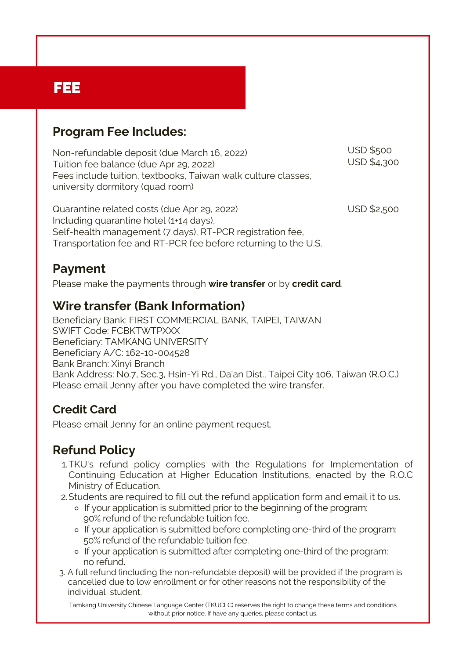### FEE

### **Program Fee Includes:**

Non-refundable deposit (due March 16, 2022) Tuition fee balance (due Apr 29, 2022) Fees include tuition, textbooks, Taiwan walk culture classes, university dormitory (quad room)

USD \$2,500 Quarantine related costs (due Apr 29, 2022) Including quarantine hotel (1+14 days), Self-health management (7 days), RT-PCR registration fee, Transportation fee and RT-PCR fee before returning to the U.S.

USD \$500 USD \$4,300

### **Payment**

Please make the payments through **wire transfer** or by **credit card**.

### **Wire transfer (Bank Information)**

Beneficiary Bank: FIRST COMMERCIAL BANK, TAIPEI, TAIWAN SWIFT Code: FCBKTWTPXXX Beneficiary: TAMKANG UNIVERSITY Beneficiary A/C: 162-10-004528 Bank Branch: Xinyi Branch Bank Address: No.7, Sec.3, Hsin-Yi Rd., Da'an Dist., Taipei City 106, Taiwan (R.O.C.) Please email Jenny after you have completed the wire transfer.

### **Credit Card**

Please email Jenny for an online payment request.

### **Refund Policy**

- TKU's refund policy complies with the Regulations for Implementation of 1. Continuing Education at Higher Education Institutions, enacted by the R.O.C Ministry of Education.
- 2. Students are required to fill out the refund application form and email it to us.
	- o If your application is submitted prior to the beginning of the program: 90% refund of the refundable tuition fee.
	- o If your application is submitted before completing one-third of the program: 50% refund of the refundable tuition fee.
	- o If your application is submitted after completing one-third of the program: no refund.
- 3. A full refund (including the non-refundable deposit) will be provided if the program is cancelled due to low enrollment or for other reasons not the responsibility of the individual student.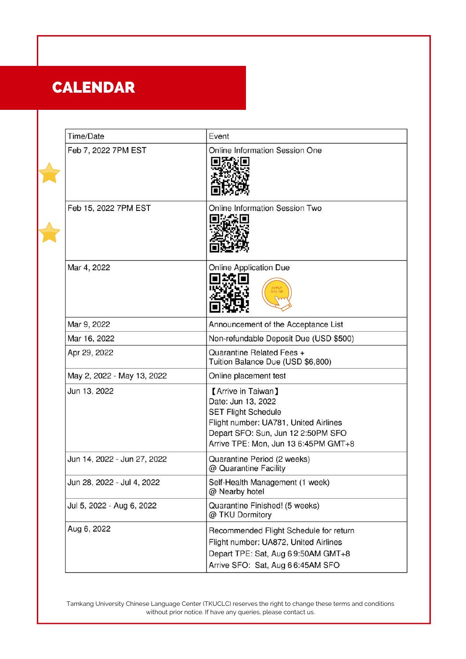## CALENDAR

F

| Time/Date                   | Event                                                                                                                                                                                         |
|-----------------------------|-----------------------------------------------------------------------------------------------------------------------------------------------------------------------------------------------|
| Feb 7, 2022 7PM EST         | Online Information Session One                                                                                                                                                                |
| Feb 15, 2022 7PM EST        | Online Information Session Two                                                                                                                                                                |
| Mar 4, 2022                 | <b>Online Application Due</b><br>APPLY<br>ONLINE                                                                                                                                              |
| Mar 9, 2022                 | Announcement of the Acceptance List                                                                                                                                                           |
| Mar 16, 2022                | Non-refundable Deposit Due (USD \$500)                                                                                                                                                        |
| Apr 29, 2022                | Quarantine Related Fees +<br>Tuition Balance Due (USD \$6,800)                                                                                                                                |
| May 2, 2022 - May 13, 2022  | Online placement test                                                                                                                                                                         |
| Jun 13, 2022                | [Arrive in Taiwan]<br>Date: Jun 13, 2022<br><b>SET Flight Schedule</b><br>Flight number: UA781, United Airlines<br>Depart SFO: Sun, Jun 12 2:50PM SFO<br>Arrive TPE: Mon, Jun 13 6:45PM GMT+8 |
| Jun 14, 2022 - Jun 27, 2022 | Quarantine Period (2 weeks)<br>@ Quarantine Facility                                                                                                                                          |
| Jun 28, 2022 - Jul 4, 2022  | Self-Health Management (1 week)<br>@ Nearby hotel                                                                                                                                             |
| Jul 5, 2022 - Aug 6, 2022   | Quarantine Finished! (5 weeks)<br>@ TKU Dormitory                                                                                                                                             |
| Aug 6, 2022                 | Recommended Flight Schedule for return<br>Flight number: UA872, United Airlines<br>Depart TPE: Sat, Aug 69:50AM GMT+8<br>Arrive SFO: Sat, Aug 66:45AM SFO                                     |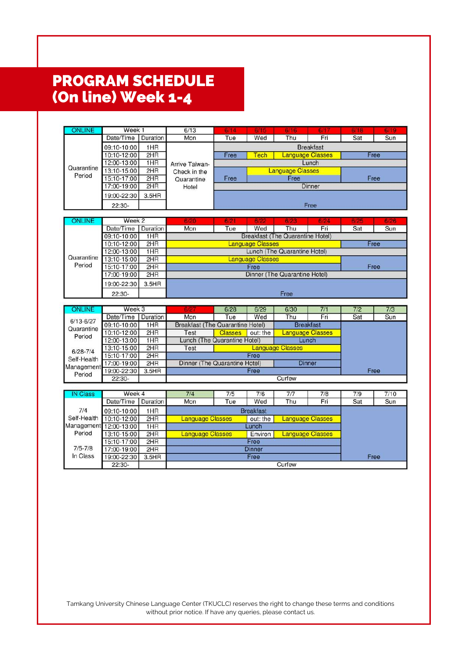### PROGRAM SCHEDULE (On line) Week 1-4

| ONLINE                                 | Week 1                     |            | 6/13                                                                    | 6/14                                           | 6/15                    | 6/16                    | 6/1 | 6/18 | 6/19 |  |  |
|----------------------------------------|----------------------------|------------|-------------------------------------------------------------------------|------------------------------------------------|-------------------------|-------------------------|-----|------|------|--|--|
|                                        | Date/Time                  | Duration   | Mon                                                                     | Tue                                            | Wed                     | Thu                     | Fri | Sat  | Sun  |  |  |
| Quarantine<br>Period                   | 09:10-10:00                | 1HR        |                                                                         | <b>Breakfast</b>                               |                         |                         |     |      |      |  |  |
|                                        | 10:10-12:00                | 2HR        |                                                                         | <b>Language Classes</b><br>Free<br><b>Tech</b> |                         |                         |     |      | Free |  |  |
|                                        | 12:00-13:00                | 1HR        | Arrive Taiwan-                                                          |                                                |                         |                         |     |      |      |  |  |
|                                        | 13:10-15:00                | 2HR        | Check in the                                                            |                                                | <b>Language Classes</b> |                         |     |      |      |  |  |
|                                        | 15:10-17:00                | 2HR        | Quarantine                                                              | Free                                           |                         | Free                    |     |      |      |  |  |
|                                        | 17:00-19:00                | 2HR        | Hotel                                                                   | Dinner                                         |                         |                         |     |      |      |  |  |
|                                        | 19:00-22:30                | 3.5HR      |                                                                         |                                                |                         |                         |     |      |      |  |  |
|                                        | 22:30-                     |            |                                                                         | Free                                           |                         |                         |     |      |      |  |  |
|                                        |                            |            |                                                                         |                                                |                         |                         |     |      |      |  |  |
| <b>ONLINE</b>                          | Week 2                     |            | 6/20                                                                    | 6/21                                           |                         |                         |     | 6/25 | 6/26 |  |  |
|                                        | Date/Time                  | Duration   | Mon                                                                     | Tue                                            | Wed                     | Thu                     | Fri | Sat  | Sun  |  |  |
|                                        | 09:10-10:00                | 1HR        |                                                                         | <b>Breakfast (The Quarantine Hotel)</b>        |                         |                         |     |      |      |  |  |
|                                        | 10:10-12:00                | 2HR        | <b>Language Classes</b><br>Lunch (The Quarantine Hotel)                 |                                                |                         |                         |     |      | Free |  |  |
|                                        | 12:00-13:00                | 1HR        |                                                                         |                                                |                         |                         |     |      |      |  |  |
| Quarantine                             | 13:10-15:00                | 2HR        |                                                                         |                                                | <b>Language Classes</b> |                         |     |      |      |  |  |
| Period                                 | 15:10-17:00                | 2HR        | Free                                                                    |                                                |                         |                         |     |      | Free |  |  |
|                                        | 17:00-19:00                | 2HR        | Dinner (The Quarantine Hotel)                                           |                                                |                         |                         |     |      |      |  |  |
|                                        | 19:00-22:30                | 3.5HR      |                                                                         |                                                |                         |                         |     |      |      |  |  |
|                                        | $22:30-$                   |            | Free                                                                    |                                                |                         |                         |     |      |      |  |  |
|                                        |                            |            |                                                                         |                                                |                         |                         |     |      |      |  |  |
| <b>ONLINE</b>                          | Week 3                     |            | 6/27                                                                    | 6/28                                           | 6/29                    | 6/30                    | 7/1 | 7/2  | 7/3  |  |  |
| $6/13 - 6/27$                          | Date/Time                  | Duration   | Mon                                                                     | Tue                                            | Wed                     | Thu                     | Fri | Sat  | Sun  |  |  |
| Quarantine                             | 09:10-10:00                | 1HR        | <b>Breakfast (The Quarantine Hotel)</b><br><b>Breakfast</b>             |                                                |                         |                         |     |      |      |  |  |
| Period                                 | 10:10-12:00                | 2HR        | Test                                                                    | <b>Classes</b>                                 | out: the                | <b>Language Classes</b> |     |      |      |  |  |
|                                        | 12:00-13:00                | 1HR        | Lunch (The Quarantine Hotel)<br>Lunch                                   |                                                |                         |                         |     |      |      |  |  |
| $6/28 - 7/4$                           | 13:10-15:00                | 2HR        | <b>Language Classes</b><br>Test                                         |                                                |                         |                         |     |      |      |  |  |
| Self-Health                            | 15:10-17:00                | 2HR        | Free                                                                    |                                                |                         |                         |     |      |      |  |  |
| Management                             | 17:00-19:00                | 2HR        | Dinner (The Quarantine Hotel)<br><b>Dinner</b>                          |                                                |                         |                         |     |      |      |  |  |
| 19:00-22:30<br>3.5HR<br>Free<br>Period |                            |            |                                                                         |                                                |                         | Free                    |     |      |      |  |  |
| Curfew<br>22:30-                       |                            |            |                                                                         |                                                |                         |                         |     |      |      |  |  |
| <b>IN Class</b>                        | Week 4                     |            | 7/4                                                                     | 7/5                                            | 7/6                     | 7/7                     | 7/8 | 7/9  | 7/10 |  |  |
|                                        | Date/Time                  | Duration   | Mon                                                                     | Tue                                            | Wed                     | Thu                     | Fri | Sat  | Sun  |  |  |
| 7/4                                    |                            |            |                                                                         |                                                |                         |                         |     |      |      |  |  |
| Self-Health                            | 09:10-10:00                | 1HR<br>2HR | <b>Breakfast</b>                                                        |                                                |                         |                         |     |      |      |  |  |
| Management                             | 10:10-12:00<br>12:00-13:00 | 1HR        | <b>Language Classes</b><br><b>Language Classes</b><br>out: the<br>Lunch |                                                |                         |                         |     |      |      |  |  |
| Period                                 | 13:10-15:00                | 2HR        | <b>Language Classes</b><br><b>Language Classes</b><br>Environ<br>Free   |                                                |                         |                         |     |      |      |  |  |
|                                        | 15:10-17:00                | 2HR        |                                                                         |                                                |                         |                         |     |      |      |  |  |
| $7/5 - 7/8$                            | 17:00-19:00                | 2HR        |                                                                         |                                                | <b>Dinner</b>           |                         |     |      |      |  |  |
| In Class                               | 19:00-22:30                | 3.5HR      |                                                                         |                                                | Free                    |                         |     |      | Free |  |  |
|                                        |                            |            | Curfew                                                                  |                                                |                         |                         |     |      |      |  |  |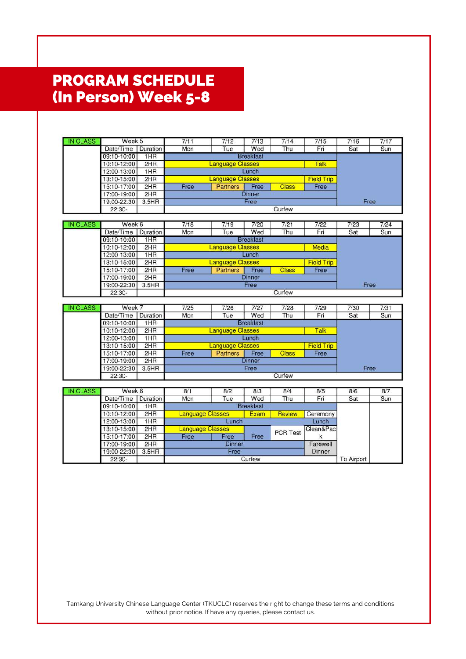### PROGRAM SCHEDULE (In Person) Week 5-8

| <b>IN CLASS</b> | Week 5                     |              | 7/11                                            | 7/12                    | 7/13             | 7/14            | 7/15               | 7/16 | 7/17 |  |
|-----------------|----------------------------|--------------|-------------------------------------------------|-------------------------|------------------|-----------------|--------------------|------|------|--|
|                 | Date/Time   Duration       |              | Mon                                             | Tue                     | Wed              | Thu             | Fri                | Sat  | Sun  |  |
|                 | 09:10-10:00                | 1HR          |                                                 |                         |                  |                 |                    |      |      |  |
|                 | 10:10-12:00                | 2HR          |                                                 | Talk                    |                  |                 |                    |      |      |  |
|                 | 12:00-13:00                | 1HR          | <b>Language Classes</b><br>Lunch                |                         |                  |                 |                    |      |      |  |
|                 | 13:10-15:00                | 2HR          | <b>Language Classes</b>                         |                         |                  |                 | <b>Field Trip</b>  |      |      |  |
|                 | 15:10-17:00                | 2HR          | Free<br><b>Partners</b><br>Free<br><b>Class</b> |                         |                  |                 | Free               |      |      |  |
|                 | 17:00-19:00                | 2HR          | <b>Dinner</b>                                   |                         |                  |                 |                    |      |      |  |
|                 | 19:00-22:30                | 3.5HR        | Free                                            |                         |                  |                 |                    | Free |      |  |
|                 | $22:30-$                   |              | Curfew                                          |                         |                  |                 |                    |      |      |  |
|                 |                            |              |                                                 |                         |                  |                 |                    |      |      |  |
| <b>IN CLASS</b> | Week 6                     |              | 7/18                                            | 7/19                    | 7/20             | 7/21            | 7/22               | 7/23 | 7/24 |  |
|                 | Date/Time                  | Duration     | Mon                                             | Tue                     | Wed              | Thu             | Fri                | Sat  | Sun  |  |
|                 | 09:10-10:00                | 1HR          |                                                 |                         | <b>Breakfast</b> |                 |                    |      |      |  |
|                 | 10:10-12:00                | 2HR          |                                                 | <b>Language Classes</b> |                  |                 | <b>Media</b>       |      |      |  |
|                 | 12:00-13:00                | 1HR          |                                                 |                         | Lunch            |                 |                    |      |      |  |
|                 | 13:10-15:00                | 2HR          |                                                 | <b>Language Classes</b> |                  |                 | <b>Field Trip</b>  |      |      |  |
|                 | 15:10-17:00                | 2HR          | Free                                            | <b>Partners</b>         | Free             | <b>Class</b>    | Free               |      |      |  |
|                 | 17:00-19:00                | 2HR          |                                                 |                         | <b>Dinner</b>    |                 |                    |      |      |  |
|                 | 19:00-22:30                | 3.5HR        | Free                                            |                         |                  |                 |                    | Free |      |  |
|                 | $22:30-$                   |              | Curfew                                          |                         |                  |                 |                    |      |      |  |
|                 |                            |              |                                                 |                         |                  |                 |                    |      |      |  |
| <b>IN CLASS</b> | Week 7                     |              | 7/25                                            | 7/26                    | 7/27             | 7/28            | 7/29               | 7/30 | 7/31 |  |
|                 | Date/Time                  | Duration     | Mon                                             | Tue                     | Wed              | Thu             | Fri                | Sat  | Sun  |  |
|                 | 09:10-10:00                | 1HR          | <b>Breakfast</b>                                |                         |                  |                 |                    |      |      |  |
|                 |                            |              | <b>Language Classes</b><br>Talk                 |                         |                  |                 |                    |      |      |  |
|                 | 10:10-12:00                | 2HR          |                                                 |                         |                  |                 |                    |      |      |  |
|                 | 12:00-13:00                | 1HR          |                                                 |                         | Lunch            |                 |                    |      |      |  |
|                 | 13:10-15:00                | 2HR          |                                                 | <b>Language Classes</b> |                  |                 | <b>Field Trip</b>  |      |      |  |
|                 | 15:10-17:00                | 2HR          | Free                                            | Partners                | Free             | <b>Class</b>    | Free               |      |      |  |
|                 | 17:00-19:00                | 2HR          |                                                 |                         | <b>Dinner</b>    |                 |                    |      |      |  |
|                 | 19:00-22:30                | 3.5HR        |                                                 |                         | Free             |                 |                    | Free |      |  |
|                 | 22:30-                     |              |                                                 |                         |                  | Curfew          |                    |      |      |  |
|                 |                            |              |                                                 |                         |                  |                 |                    |      |      |  |
| <b>IN CLASS</b> | Week 8                     |              | 8/1                                             | 8/2                     | 8/3              | 8/4             | 8/5                | 8/6  | 8/7  |  |
|                 | Date/Time                  | Duration     | Mon                                             | Tue                     | Wed              | Thu             | Fri                | Sat  | Sun  |  |
|                 | 09:10-10:00                | 1HR          |                                                 |                         | <b>Breakfast</b> |                 |                    |      |      |  |
|                 | 10:10-12:00                | 2HR          | <b>Language Classes</b>                         |                         | Exam             | <b>Review</b>   | Ceremony           |      |      |  |
|                 | 12:00-13:00                | 1HR          |                                                 | Lunch                   |                  |                 | Lunch              |      |      |  |
|                 | 13:10-15:00                | 2HR          | <b>Language Classes</b>                         |                         |                  | <b>PCR Test</b> | Clean&Pac          |      |      |  |
|                 | 15:10-17:00                | 2HR          | Free                                            | Free                    | Free             |                 | k                  |      |      |  |
|                 | 17:00-19:00<br>19:00-22:30 | 2HR<br>3.5HR |                                                 | <b>Dinner</b><br>Free   |                  |                 | Farewell<br>Dinner |      |      |  |